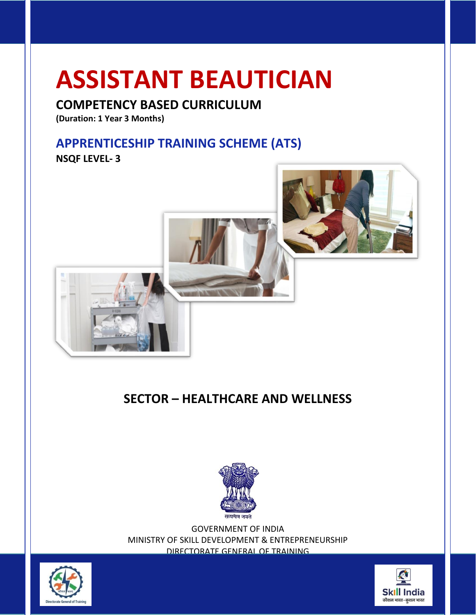# **ASSISTANT BEAUTICIAN**

# **COMPETENCY BASED CURRICULUM**

**(Duration: 1 Year 3 Months)**

# **APPRENTICESHIP TRAINING SCHEME (ATS)**

**NSQF LEVEL- 3**



# **SECTOR – HEALTHCARE AND WELLNESS**



GOVERNMENT OF INDIA MINISTRY OF SKILL DEVELOPMENT & ENTREPRENEURSHIP DIRECTORATE GENERAL OF TRAINING



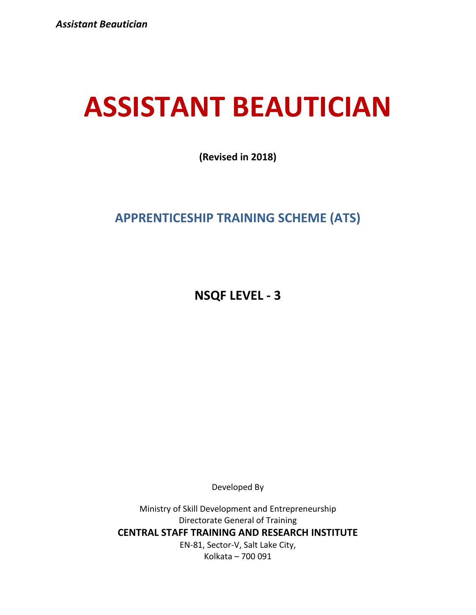# **ASSISTANT BEAUTICIAN**

**(Revised in 2018)**

# **APPRENTICESHIP TRAINING SCHEME (ATS)**

**NSQF LEVEL - 3**

Developed By

Ministry of Skill Development and Entrepreneurship Directorate General of Training **CENTRAL STAFF TRAINING AND RESEARCH INSTITUTE** EN-81, Sector-V, Salt Lake City, Kolkata – 700 091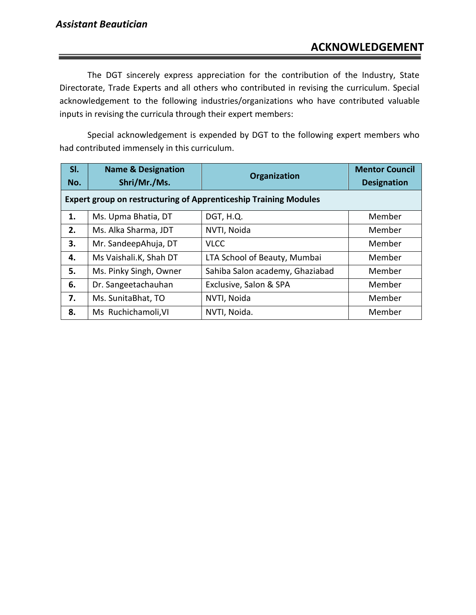The DGT sincerely express appreciation for the contribution of the Industry, State Directorate, Trade Experts and all others who contributed in revising the curriculum. Special acknowledgement to the following industries/organizations who have contributed valuable inputs in revising the curricula through their expert members:

Special acknowledgement is expended by DGT to the following expert members who had contributed immensely in this curriculum.

| SI.                                                                     | <b>Name &amp; Designation</b> | Organization                    | <b>Mentor Council</b> |
|-------------------------------------------------------------------------|-------------------------------|---------------------------------|-----------------------|
| No.                                                                     | Shri/Mr./Ms.                  |                                 | <b>Designation</b>    |
| <b>Expert group on restructuring of Apprenticeship Training Modules</b> |                               |                                 |                       |
| 1.                                                                      | Ms. Upma Bhatia, DT           | DGT, H.Q.                       | Member                |
| 2.                                                                      | Ms. Alka Sharma, JDT          | NVTI, Noida                     | Member                |
| 3.                                                                      | Mr. SandeepAhuja, DT          | <b>VLCC</b>                     | Member                |
| 4.                                                                      | Ms Vaishali.K, Shah DT        | LTA School of Beauty, Mumbai    | Member                |
| 5.                                                                      | Ms. Pinky Singh, Owner        | Sahiba Salon academy, Ghaziabad | Member                |
| 6.                                                                      | Dr. Sangeetachauhan           | Exclusive, Salon & SPA          | Member                |
| 7.                                                                      | Ms. SunitaBhat, TO            | NVTI, Noida                     | Member                |
| 8.                                                                      | Ms Ruchichamoli, VI           | NVTI, Noida.                    | Member                |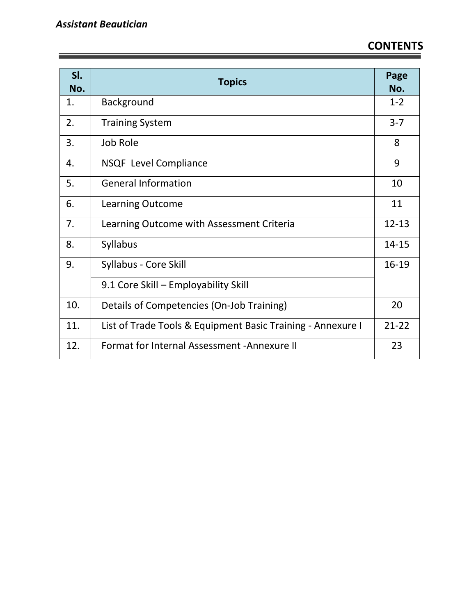| SI.<br>No. | <b>Topics</b>                                               | Page<br>No. |
|------------|-------------------------------------------------------------|-------------|
| 1.         | Background                                                  | $1 - 2$     |
| 2.         | <b>Training System</b>                                      | $3 - 7$     |
| 3.         | Job Role                                                    | 8           |
| 4.         | <b>NSQF</b> Level Compliance                                | 9           |
| 5.         | <b>General Information</b>                                  | 10          |
| 6.         | <b>Learning Outcome</b>                                     | 11          |
| 7.         | Learning Outcome with Assessment Criteria                   | $12 - 13$   |
| 8.         | <b>Syllabus</b>                                             | 14-15       |
| 9.         | Syllabus - Core Skill                                       | 16-19       |
|            | 9.1 Core Skill - Employability Skill                        |             |
| 10.        | Details of Competencies (On-Job Training)                   | 20          |
| 11.        | List of Trade Tools & Equipment Basic Training - Annexure I | $21 - 22$   |
| 12.        | Format for Internal Assessment - Annexure II                | 23          |

the control of the control of the control of the control of the control of the control of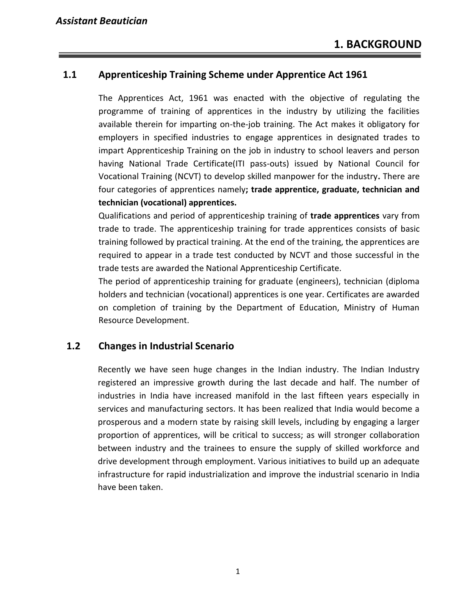#### **1.1 Apprenticeship Training Scheme under Apprentice Act 1961**

The Apprentices Act, 1961 was enacted with the objective of regulating the programme of training of apprentices in the industry by utilizing the facilities available therein for imparting on-the-job training. The Act makes it obligatory for employers in specified industries to engage apprentices in designated trades to impart Apprenticeship Training on the job in industry to school leavers and person having National Trade Certificate(ITI pass-outs) issued by National Council for Vocational Training (NCVT) to develop skilled manpower for the industry**.** There are four categories of apprentices namely**; trade apprentice, graduate, technician and technician (vocational) apprentices.** 

Qualifications and period of apprenticeship training of **trade apprentices** vary from trade to trade. The apprenticeship training for trade apprentices consists of basic training followed by practical training. At the end of the training, the apprentices are required to appear in a trade test conducted by NCVT and those successful in the trade tests are awarded the National Apprenticeship Certificate.

The period of apprenticeship training for graduate (engineers), technician (diploma holders and technician (vocational) apprentices is one year. Certificates are awarded on completion of training by the Department of Education, Ministry of Human Resource Development.

#### **1.2 Changes in Industrial Scenario**

Recently we have seen huge changes in the Indian industry. The Indian Industry registered an impressive growth during the last decade and half. The number of industries in India have increased manifold in the last fifteen years especially in services and manufacturing sectors. It has been realized that India would become a prosperous and a modern state by raising skill levels, including by engaging a larger proportion of apprentices, will be critical to success; as will stronger collaboration between industry and the trainees to ensure the supply of skilled workforce and drive development through employment. Various initiatives to build up an adequate infrastructure for rapid industrialization and improve the industrial scenario in India have been taken.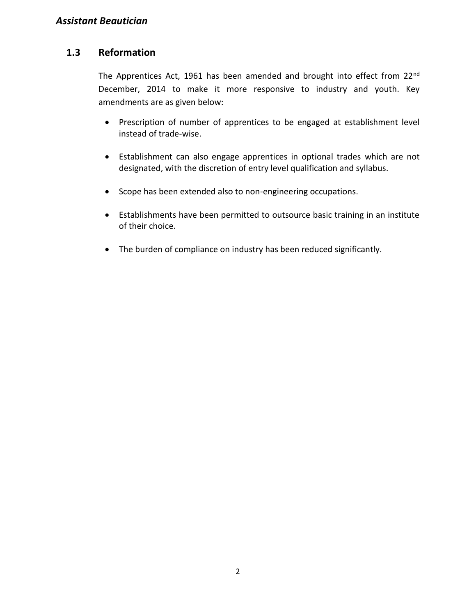#### **1.3 Reformation**

The Apprentices Act, 1961 has been amended and brought into effect from 22<sup>nd</sup> December, 2014 to make it more responsive to industry and youth. Key amendments are as given below:

- Prescription of number of apprentices to be engaged at establishment level instead of trade-wise.
- Establishment can also engage apprentices in optional trades which are not designated, with the discretion of entry level qualification and syllabus.
- Scope has been extended also to non-engineering occupations.
- Establishments have been permitted to outsource basic training in an institute of their choice.
- The burden of compliance on industry has been reduced significantly.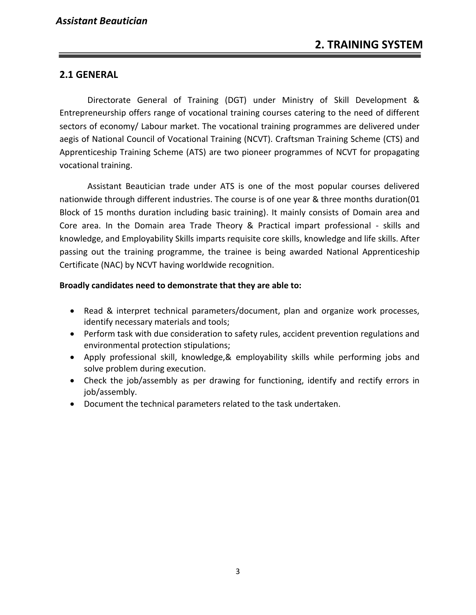#### **2.1 GENERAL**

Directorate General of Training (DGT) under Ministry of Skill Development & Entrepreneurship offers range of vocational training courses catering to the need of different sectors of economy/ Labour market. The vocational training programmes are delivered under aegis of National Council of Vocational Training (NCVT). Craftsman Training Scheme (CTS) and Apprenticeship Training Scheme (ATS) are two pioneer programmes of NCVT for propagating vocational training.

Assistant Beautician trade under ATS is one of the most popular courses delivered nationwide through different industries. The course is of one year & three months duration(01 Block of 15 months duration including basic training). It mainly consists of Domain area and Core area. In the Domain area Trade Theory & Practical impart professional - skills and knowledge, and Employability Skills imparts requisite core skills, knowledge and life skills. After passing out the training programme, the trainee is being awarded National Apprenticeship Certificate (NAC) by NCVT having worldwide recognition.

#### **Broadly candidates need to demonstrate that they are able to:**

- Read & interpret technical parameters/document, plan and organize work processes, identify necessary materials and tools;
- Perform task with due consideration to safety rules, accident prevention regulations and environmental protection stipulations;
- Apply professional skill, knowledge,& employability skills while performing jobs and solve problem during execution.
- Check the job/assembly as per drawing for functioning, identify and rectify errors in job/assembly.
- Document the technical parameters related to the task undertaken.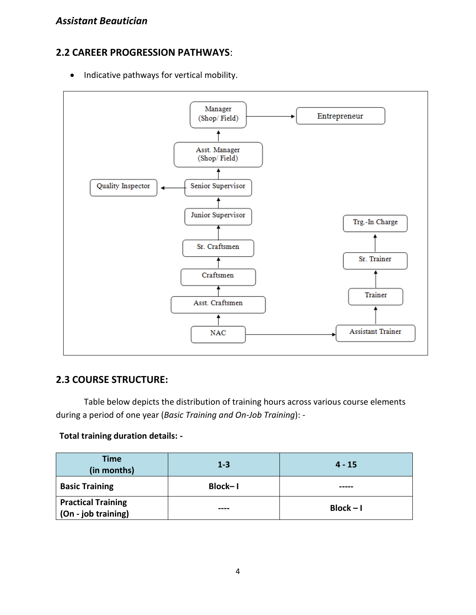#### **2.2 CAREER PROGRESSION PATHWAYS**:

• Indicative pathways for vertical mobility.



#### **2.3 COURSE STRUCTURE:**

Table below depicts the distribution of training hours across various course elements during a period of one year (*Basic Training and On-Job Training*): -

#### **Total training duration details: -**

| <b>Time</b><br>(in months)                       | $1 - 3$ | $4 - 15$    |
|--------------------------------------------------|---------|-------------|
| <b>Basic Training</b>                            | Block-I |             |
| <b>Practical Training</b><br>(On - job training) | ----    | $Block - I$ |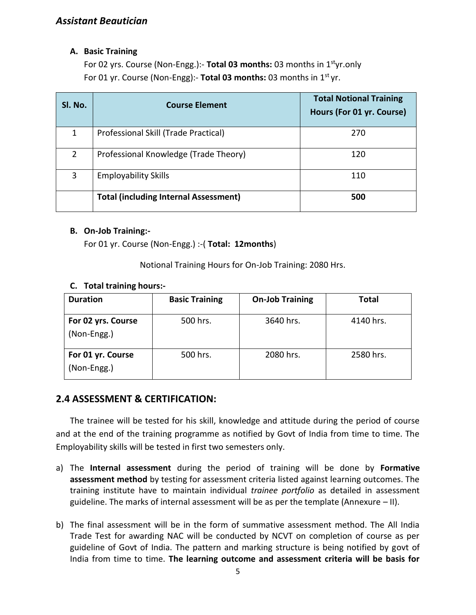#### **A. Basic Training**

For 02 yrs. Course (Non-Engg.):- **Total 03 months:** 03 months in 1styr.only For 01 yr. Course (Non-Engg):- **Total 03 months:** 03 months in 1st yr.

| SI. No. | <b>Course Element</b>                        | <b>Total Notional Training</b><br>Hours (For 01 yr. Course) |
|---------|----------------------------------------------|-------------------------------------------------------------|
| 1       | Professional Skill (Trade Practical)         | 270                                                         |
| 2       | Professional Knowledge (Trade Theory)        | 120                                                         |
| 3       | <b>Employability Skills</b>                  | 110                                                         |
|         | <b>Total (including Internal Assessment)</b> | 500                                                         |

#### **B. On-Job Training:-**

For 01 yr. Course (Non-Engg.) :-( **Total: 12months**)

Notional Training Hours for On-Job Training: 2080 Hrs.

#### **C. Total training hours:-**

| <b>Duration</b>                   | <b>Basic Training</b> | <b>On-Job Training</b> | Total     |
|-----------------------------------|-----------------------|------------------------|-----------|
| For 02 yrs. Course<br>(Non-Engg.) | 500 hrs.              | 3640 hrs.              | 4140 hrs. |
| For 01 yr. Course<br>(Non-Engg.)  | 500 hrs.              | 2080 hrs.              | 2580 hrs. |

#### **2.4 ASSESSMENT & CERTIFICATION:**

The trainee will be tested for his skill, knowledge and attitude during the period of course and at the end of the training programme as notified by Govt of India from time to time. The Employability skills will be tested in first two semesters only.

- a) The **Internal assessment** during the period of training will be done by **Formative assessment method** by testing for assessment criteria listed against learning outcomes. The training institute have to maintain individual *trainee portfolio* as detailed in assessment guideline. The marks of internal assessment will be as per the template (Annexure – II).
- b) The final assessment will be in the form of summative assessment method. The All India Trade Test for awarding NAC will be conducted by NCVT on completion of course as per guideline of Govt of India. The pattern and marking structure is being notified by govt of India from time to time. **The learning outcome and assessment criteria will be basis for**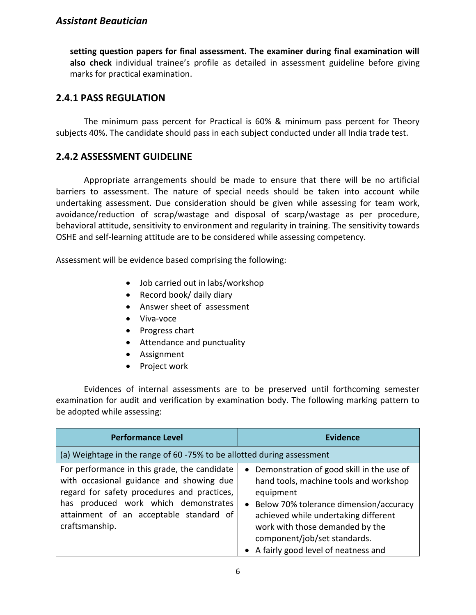**setting question papers for final assessment. The examiner during final examination will also check** individual trainee's profile as detailed in assessment guideline before giving marks for practical examination.

#### **2.4.1 PASS REGULATION**

The minimum pass percent for Practical is 60% & minimum pass percent for Theory subjects 40%. The candidate should pass in each subject conducted under all India trade test.

#### **2.4.2 ASSESSMENT GUIDELINE**

Appropriate arrangements should be made to ensure that there will be no artificial barriers to assessment. The nature of special needs should be taken into account while undertaking assessment. Due consideration should be given while assessing for team work, avoidance/reduction of scrap/wastage and disposal of scarp/wastage as per procedure, behavioral attitude, sensitivity to environment and regularity in training. The sensitivity towards OSHE and self-learning attitude are to be considered while assessing competency.

Assessment will be evidence based comprising the following:

- Job carried out in labs/workshop
- Record book/ daily diary
- Answer sheet of assessment
- Viva-voce
- Progress chart
- Attendance and punctuality
- Assignment
- Project work

Evidences of internal assessments are to be preserved until forthcoming semester examination for audit and verification by examination body. The following marking pattern to be adopted while assessing:

| <b>Performance Level</b>                                                                                                                                                                                                                     | <b>Evidence</b>                                                                                                                                                                                                                                                                                             |
|----------------------------------------------------------------------------------------------------------------------------------------------------------------------------------------------------------------------------------------------|-------------------------------------------------------------------------------------------------------------------------------------------------------------------------------------------------------------------------------------------------------------------------------------------------------------|
| (a) Weightage in the range of 60 -75% to be allotted during assessment                                                                                                                                                                       |                                                                                                                                                                                                                                                                                                             |
| For performance in this grade, the candidate<br>with occasional guidance and showing due<br>regard for safety procedures and practices,<br>has produced work which demonstrates<br>attainment of an acceptable standard of<br>craftsmanship. | Demonstration of good skill in the use of<br>$\bullet$<br>hand tools, machine tools and workshop<br>equipment<br>Below 70% tolerance dimension/accuracy<br>achieved while undertaking different<br>work with those demanded by the<br>component/job/set standards.<br>• A fairly good level of neatness and |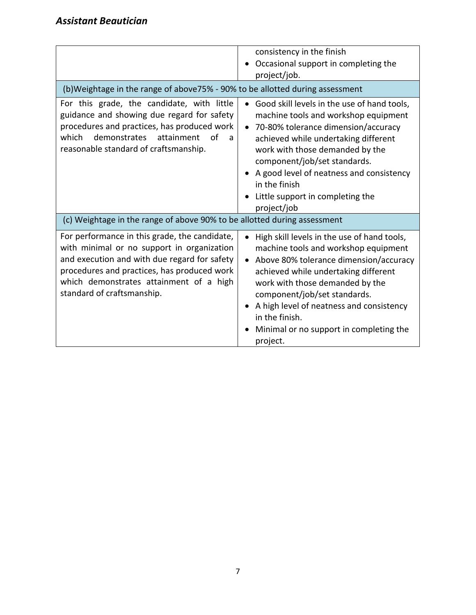| (b) Weightage in the range of above 75% - 90% to be allotted during assessment                                                                                                                                                                                      | consistency in the finish<br>Occasional support in completing the<br>project/job.                                                                                                                                                                                                                                                                                  |
|---------------------------------------------------------------------------------------------------------------------------------------------------------------------------------------------------------------------------------------------------------------------|--------------------------------------------------------------------------------------------------------------------------------------------------------------------------------------------------------------------------------------------------------------------------------------------------------------------------------------------------------------------|
| For this grade, the candidate, with little<br>guidance and showing due regard for safety<br>procedures and practices, has produced work<br>demonstrates<br>which<br>attainment<br>ം പ<br>a<br>reasonable standard of craftsmanship.                                 | Good skill levels in the use of hand tools,<br>machine tools and workshop equipment<br>70-80% tolerance dimension/accuracy<br>$\bullet$<br>achieved while undertaking different<br>work with those demanded by the<br>component/job/set standards.<br>A good level of neatness and consistency<br>in the finish<br>Little support in completing the<br>project/job |
| (c) Weightage in the range of above 90% to be allotted during assessment                                                                                                                                                                                            |                                                                                                                                                                                                                                                                                                                                                                    |
| For performance in this grade, the candidate,<br>with minimal or no support in organization<br>and execution and with due regard for safety<br>procedures and practices, has produced work<br>which demonstrates attainment of a high<br>standard of craftsmanship. | High skill levels in the use of hand tools,<br>machine tools and workshop equipment<br>Above 80% tolerance dimension/accuracy<br>achieved while undertaking different<br>work with those demanded by the<br>component/job/set standards.<br>A high level of neatness and consistency<br>in the finish.<br>Minimal or no support in completing the<br>project.      |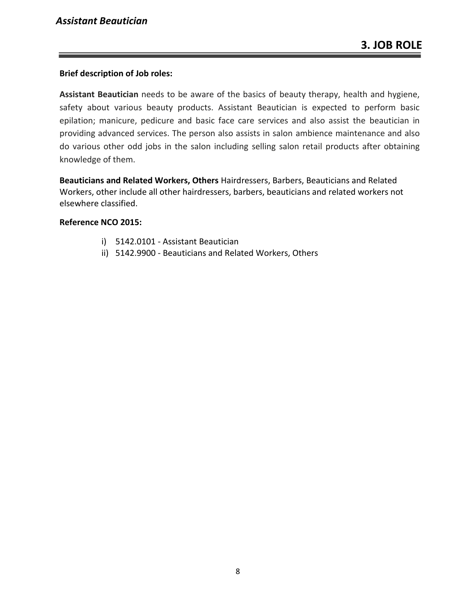#### **Brief description of Job roles:**

**Assistant Beautician** needs to be aware of the basics of beauty therapy, health and hygiene, safety about various beauty products. Assistant Beautician is expected to perform basic epilation; manicure, pedicure and basic face care services and also assist the beautician in providing advanced services. The person also assists in salon ambience maintenance and also do various other odd jobs in the salon including selling salon retail products after obtaining knowledge of them.

**Beauticians and Related Workers, Others** Hairdressers, Barbers, Beauticians and Related Workers, other include all other hairdressers, barbers, beauticians and related workers not elsewhere classified.

#### **Reference NCO 2015:**

- i) 5142.0101 Assistant Beautician
- ii) 5142.9900 Beauticians and Related Workers, Others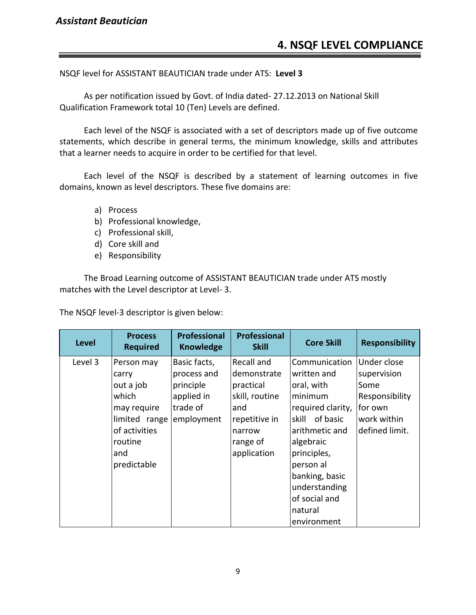NSQF level for ASSISTANT BEAUTICIAN trade under ATS: **Level 3**

As per notification issued by Govt. of India dated- 27.12.2013 on National Skill Qualification Framework total 10 (Ten) Levels are defined.

Each level of the NSQF is associated with a set of descriptors made up of five outcome statements, which describe in general terms, the minimum knowledge, skills and attributes that a learner needs to acquire in order to be certified for that level.

Each level of the NSQF is described by a statement of learning outcomes in five domains, known as level descriptors. These five domains are:

- a) Process
- b) Professional knowledge,
- c) Professional skill,
- d) Core skill and
- e) Responsibility

The Broad Learning outcome of ASSISTANT BEAUTICIAN trade under ATS mostly matches with the Level descriptor at Level- 3.

The NSQF level-3 descriptor is given below:

| <b>Level</b> | <b>Process</b><br><b>Required</b> | <b>Professional</b><br><b>Knowledge</b> | <b>Professional</b><br><b>Skill</b> | <b>Core Skill</b> | <b>Responsibility</b> |
|--------------|-----------------------------------|-----------------------------------------|-------------------------------------|-------------------|-----------------------|
| Level 3      | Person may                        | Basic facts,                            | Recall and                          | Communication     | Under close           |
|              | carry                             | process and                             | demonstrate                         | written and       | supervision           |
|              | out a job                         | principle                               | practical                           | oral, with        | Some                  |
|              | which                             | applied in                              | skill, routine                      | minimum           | Responsibility        |
|              | may require                       | trade of                                | and                                 | required clarity, | for own               |
|              | limited range                     | employment                              | repetitive in                       | skill of basic    | work within           |
|              | of activities                     |                                         | narrow                              | arithmetic and    | defined limit.        |
|              | routine                           |                                         | range of                            | algebraic         |                       |
|              | and                               |                                         | application                         | principles,       |                       |
|              | predictable                       |                                         |                                     | person al         |                       |
|              |                                   |                                         |                                     | banking, basic    |                       |
|              |                                   |                                         |                                     | understanding     |                       |
|              |                                   |                                         |                                     | of social and     |                       |
|              |                                   |                                         |                                     | natural           |                       |
|              |                                   |                                         |                                     | environment       |                       |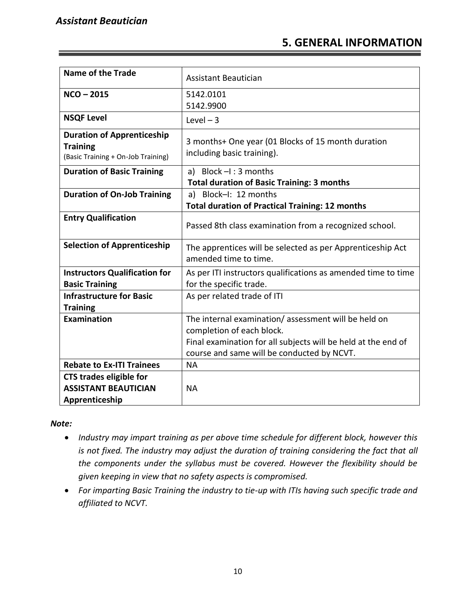#### **5. GENERAL INFORMATION**

| <b>Name of the Trade</b>                                                                   | Assistant Beautician                                                                                                                                                                            |
|--------------------------------------------------------------------------------------------|-------------------------------------------------------------------------------------------------------------------------------------------------------------------------------------------------|
| $NCO - 2015$                                                                               | 5142.0101<br>5142.9900                                                                                                                                                                          |
| <b>NSQF Level</b>                                                                          | Level $-3$                                                                                                                                                                                      |
| <b>Duration of Apprenticeship</b><br><b>Training</b><br>(Basic Training + On-Job Training) | 3 months+ One year (01 Blocks of 15 month duration<br>including basic training).                                                                                                                |
| <b>Duration of Basic Training</b>                                                          | a) Block $-I$ : 3 months                                                                                                                                                                        |
|                                                                                            | <b>Total duration of Basic Training: 3 months</b>                                                                                                                                               |
| <b>Duration of On-Job Training</b>                                                         | a) Block-I: 12 months                                                                                                                                                                           |
|                                                                                            | <b>Total duration of Practical Training: 12 months</b>                                                                                                                                          |
| <b>Entry Qualification</b>                                                                 | Passed 8th class examination from a recognized school.                                                                                                                                          |
| <b>Selection of Apprenticeship</b>                                                         | The apprentices will be selected as per Apprenticeship Act<br>amended time to time.                                                                                                             |
| <b>Instructors Qualification for</b><br><b>Basic Training</b>                              | As per ITI instructors qualifications as amended time to time<br>for the specific trade.                                                                                                        |
| <b>Infrastructure for Basic</b>                                                            | As per related trade of ITI                                                                                                                                                                     |
| <b>Training</b>                                                                            |                                                                                                                                                                                                 |
| <b>Examination</b>                                                                         | The internal examination/assessment will be held on<br>completion of each block.<br>Final examination for all subjects will be held at the end of<br>course and same will be conducted by NCVT. |
| <b>Rebate to Ex-ITI Trainees</b>                                                           | <b>NA</b>                                                                                                                                                                                       |
| <b>CTS trades eligible for</b><br><b>ASSISTANT BEAUTICIAN</b><br>Apprenticeship            | <b>NA</b>                                                                                                                                                                                       |

#### *Note:*

- *Industry may impart training as per above time schedule for different block, however this is not fixed. The industry may adjust the duration of training considering the fact that all the components under the syllabus must be covered. However the flexibility should be given keeping in view that no safety aspects is compromised.*
- *For imparting Basic Training the industry to tie-up with ITIs having such specific trade and affiliated to NCVT.*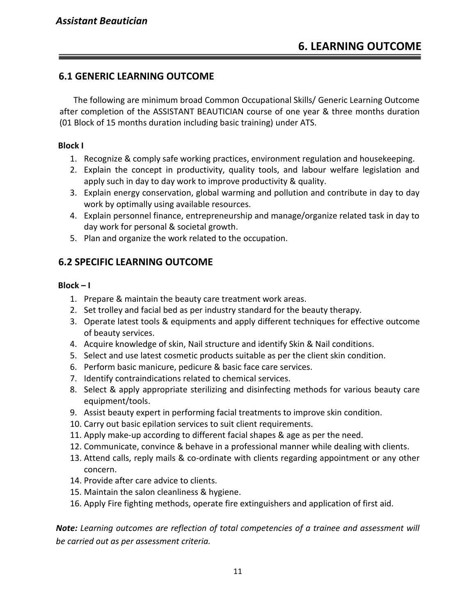#### **6.1 GENERIC LEARNING OUTCOME**

The following are minimum broad Common Occupational Skills/ Generic Learning Outcome after completion of the ASSISTANT BEAUTICIAN course of one year & three months duration (01 Block of 15 months duration including basic training) under ATS.

#### **Block I**

- 1. Recognize & comply safe working practices, environment regulation and housekeeping.
- 2. Explain the concept in productivity, quality tools, and labour welfare legislation and apply such in day to day work to improve productivity & quality.
- 3. Explain energy conservation, global warming and pollution and contribute in day to day work by optimally using available resources.
- 4. Explain personnel finance, entrepreneurship and manage/organize related task in day to day work for personal & societal growth.
- 5. Plan and organize the work related to the occupation.

#### **6.2 SPECIFIC LEARNING OUTCOME**

#### **Block – I**

- 1. Prepare & maintain the beauty care treatment work areas.
- 2. Set trolley and facial bed as per industry standard for the beauty therapy.
- 3. Operate latest tools & equipments and apply different techniques for effective outcome of beauty services.
- 4. Acquire knowledge of skin, Nail structure and identify Skin & Nail conditions.
- 5. Select and use latest cosmetic products suitable as per the client skin condition.
- 6. Perform basic manicure, pedicure & basic face care services.
- 7. Identify contraindications related to chemical services.
- 8. Select & apply appropriate sterilizing and disinfecting methods for various beauty care equipment/tools.
- 9. Assist beauty expert in performing facial treatments to improve skin condition.
- 10. Carry out basic epilation services to suit client requirements.
- 11. Apply make-up according to different facial shapes & age as per the need.
- 12. Communicate, convince & behave in a professional manner while dealing with clients.
- 13. Attend calls, reply mails & co-ordinate with clients regarding appointment or any other concern.
- 14. Provide after care advice to clients.
- 15. Maintain the salon cleanliness & hygiene.
- 16. Apply Fire fighting methods, operate fire extinguishers and application of first aid.

*Note: Learning outcomes are reflection of total competencies of a trainee and assessment will be carried out as per assessment criteria.*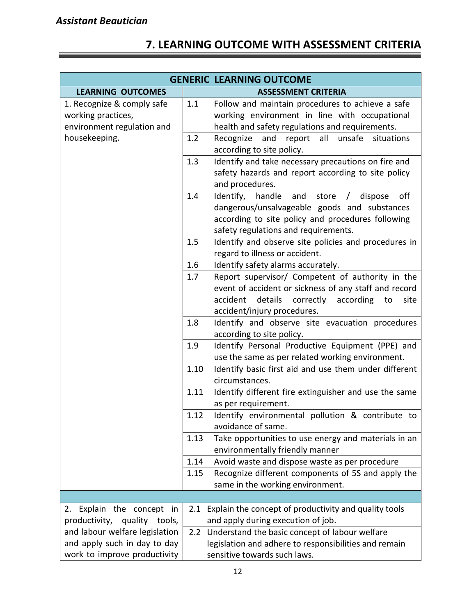# **7. LEARNING OUTCOME WITH ASSESSMENT CRITERIA**

|                                                                                |      | <b>GENERIC LEARNING OUTCOME</b>                                                                                                                                                                               |
|--------------------------------------------------------------------------------|------|---------------------------------------------------------------------------------------------------------------------------------------------------------------------------------------------------------------|
| <b>LEARNING OUTCOMES</b>                                                       |      | <b>ASSESSMENT CRITERIA</b>                                                                                                                                                                                    |
| 1. Recognize & comply safe<br>working practices,<br>environment regulation and | 1.1  | Follow and maintain procedures to achieve a safe<br>working environment in line with occupational<br>health and safety regulations and requirements.                                                          |
| housekeeping.                                                                  | 1.2  | Recognize<br>all<br>unsafe<br>and<br>report<br>situations<br>according to site policy.                                                                                                                        |
|                                                                                | 1.3  | Identify and take necessary precautions on fire and<br>safety hazards and report according to site policy<br>and procedures.                                                                                  |
|                                                                                | 1.4  | Identify, handle<br>and<br>off<br>store<br>dispose<br>$\sqrt{2}$<br>dangerous/unsalvageable goods and substances<br>according to site policy and procedures following<br>safety regulations and requirements. |
|                                                                                | 1.5  | Identify and observe site policies and procedures in<br>regard to illness or accident.                                                                                                                        |
|                                                                                | 1.6  | Identify safety alarms accurately.                                                                                                                                                                            |
|                                                                                | 1.7  | Report supervisor/ Competent of authority in the<br>event of accident or sickness of any staff and record<br>details correctly<br>according<br>accident<br>to<br>site<br>accident/injury procedures.          |
|                                                                                | 1.8  | Identify and observe site evacuation procedures<br>according to site policy.                                                                                                                                  |
|                                                                                | 1.9  | Identify Personal Productive Equipment (PPE) and<br>use the same as per related working environment.                                                                                                          |
|                                                                                | 1.10 | Identify basic first aid and use them under different<br>circumstances.                                                                                                                                       |
|                                                                                | 1.11 | Identify different fire extinguisher and use the same<br>as per requirement.                                                                                                                                  |
|                                                                                | 1.12 | Identify environmental pollution & contribute to<br>avoidance of same.                                                                                                                                        |
|                                                                                | 1.13 | Take opportunities to use energy and materials in an<br>environmentally friendly manner                                                                                                                       |
|                                                                                | 1.14 | Avoid waste and dispose waste as per procedure                                                                                                                                                                |
|                                                                                | 1.15 | Recognize different components of 5S and apply the<br>same in the working environment.                                                                                                                        |
|                                                                                |      |                                                                                                                                                                                                               |
| 2. Explain the concept in<br>productivity, quality tools,                      | 2.1  | Explain the concept of productivity and quality tools<br>and apply during execution of job.                                                                                                                   |
| and labour welfare legislation                                                 |      | 2.2 Understand the basic concept of labour welfare                                                                                                                                                            |
| and apply such in day to day                                                   |      | legislation and adhere to responsibilities and remain                                                                                                                                                         |
| work to improve productivity                                                   |      | sensitive towards such laws.                                                                                                                                                                                  |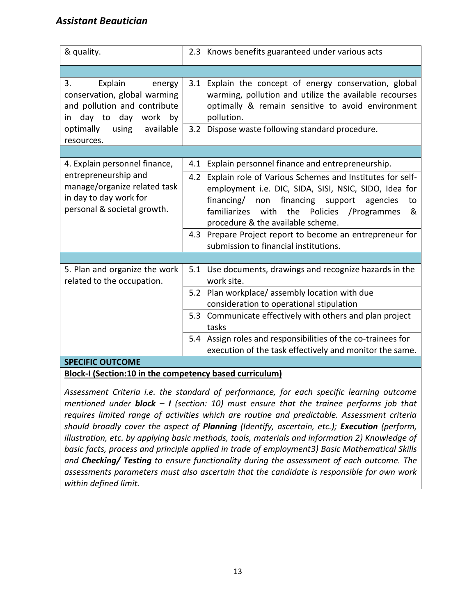| & quality.                                                                                                                                                        | 2.3 Knows benefits guaranteed under various acts                                                                                                                                                                                                                                                                                                                                                                                      |  |  |
|-------------------------------------------------------------------------------------------------------------------------------------------------------------------|---------------------------------------------------------------------------------------------------------------------------------------------------------------------------------------------------------------------------------------------------------------------------------------------------------------------------------------------------------------------------------------------------------------------------------------|--|--|
|                                                                                                                                                                   |                                                                                                                                                                                                                                                                                                                                                                                                                                       |  |  |
| 3.<br>Explain<br>energy<br>conservation, global warming<br>and pollution and contribute<br>in day to day work by<br>optimally<br>using<br>available<br>resources. | 3.1 Explain the concept of energy conservation, global<br>warming, pollution and utilize the available recourses<br>optimally & remain sensitive to avoid environment<br>pollution.<br>3.2 Dispose waste following standard procedure.                                                                                                                                                                                                |  |  |
|                                                                                                                                                                   |                                                                                                                                                                                                                                                                                                                                                                                                                                       |  |  |
| 4. Explain personnel finance,<br>entrepreneurship and<br>manage/organize related task<br>in day to day work for<br>personal & societal growth.                    | Explain personnel finance and entrepreneurship.<br>4.1<br>Explain role of Various Schemes and Institutes for self-<br>4.2<br>employment i.e. DIC, SIDA, SISI, NSIC, SIDO, Idea for<br>financing/ non<br>financing support agencies<br>to<br>familiarizes with the Policies /Programmes<br>&<br>procedure & the available scheme.<br>4.3 Prepare Project report to become an entrepreneur for<br>submission to financial institutions. |  |  |
| 5. Plan and organize the work<br>related to the occupation.                                                                                                       | 5.1 Use documents, drawings and recognize hazards in the<br>work site.<br>5.2 Plan workplace/ assembly location with due<br>consideration to operational stipulation<br>5.3 Communicate effectively with others and plan project<br>tasks<br>5.4 Assign roles and responsibilities of the co-trainees for<br>execution of the task effectively and monitor the same.                                                                  |  |  |
| <b>SPECIFIC OUTCOME</b>                                                                                                                                           |                                                                                                                                                                                                                                                                                                                                                                                                                                       |  |  |
| <b>Block-I (Section:10 in the competency based curriculum)</b>                                                                                                    |                                                                                                                                                                                                                                                                                                                                                                                                                                       |  |  |

*Assessment Criteria i.e. the standard of performance, for each specific learning outcome mentioned under block – I (section: 10) must ensure that the trainee performs job that requires limited range of activities which are routine and predictable. Assessment criteria should broadly cover the aspect of Planning (Identify, ascertain, etc.); Execution (perform, illustration, etc. by applying basic methods, tools, materials and information 2) Knowledge of basic facts, process and principle applied in trade of employment3) Basic Mathematical Skills and Checking/ Testing to ensure functionality during the assessment of each outcome. The assessments parameters must also ascertain that the candidate is responsible for own work within defined limit.*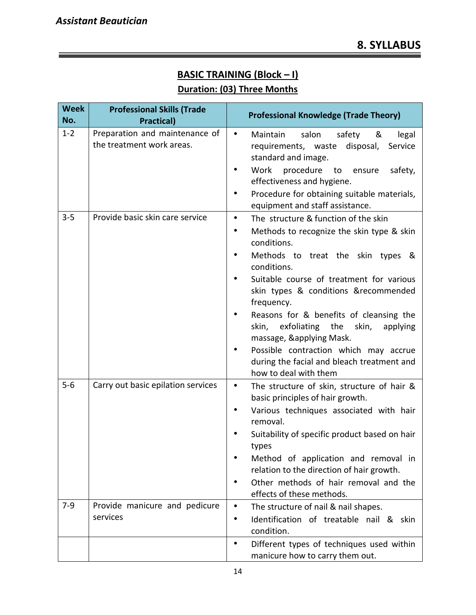## **BASIC TRAINING (Block – I) Duration: (03) Three Months**

| <b>Week</b><br>No. | <b>Professional Skills (Trade</b><br><b>Practical)</b>      | <b>Professional Knowledge (Trade Theory)</b>                                                                                                                                                                                                                                                                                                                                                                                                                                                             |
|--------------------|-------------------------------------------------------------|----------------------------------------------------------------------------------------------------------------------------------------------------------------------------------------------------------------------------------------------------------------------------------------------------------------------------------------------------------------------------------------------------------------------------------------------------------------------------------------------------------|
| $1 - 2$            | Preparation and maintenance of<br>the treatment work areas. | $\bullet$<br>salon<br>Maintain<br>safety<br>&<br>legal<br>requirements, waste<br>disposal,<br>Service<br>standard and image.<br>Work<br>procedure<br>safety,<br>to<br>ensure<br>effectiveness and hygiene.<br>Procedure for obtaining suitable materials,                                                                                                                                                                                                                                                |
|                    |                                                             | equipment and staff assistance.                                                                                                                                                                                                                                                                                                                                                                                                                                                                          |
| $3 - 5$            | Provide basic skin care service                             | The structure & function of the skin<br>$\bullet$<br>Methods to recognize the skin type & skin<br>conditions.<br>Methods to treat the skin types &<br>conditions.<br>Suitable course of treatment for various<br>skin types & conditions &recommended<br>frequency.<br>Reasons for & benefits of cleansing the<br>skin, exfoliating the<br>skin,<br>applying<br>massage, &applying Mask.<br>Possible contraction which may accrue<br>during the facial and bleach treatment and<br>how to deal with them |
| $5 - 6$            | Carry out basic epilation services                          | The structure of skin, structure of hair &<br>$\bullet$<br>basic principles of hair growth.<br>Various techniques associated with hair<br>$\bullet$<br>removal.<br>Suitability of specific product based on hair<br>types<br>Method of application and removal in<br>relation to the direction of hair growth.<br>Other methods of hair removal and the<br>effects of these methods.                                                                                                                     |
| $7-9$              | Provide manicure and pedicure<br>services                   | The structure of nail & nail shapes.<br>$\bullet$<br>Identification of treatable nail & skin<br>condition.                                                                                                                                                                                                                                                                                                                                                                                               |
|                    |                                                             | Different types of techniques used within<br>$\bullet$<br>manicure how to carry them out.                                                                                                                                                                                                                                                                                                                                                                                                                |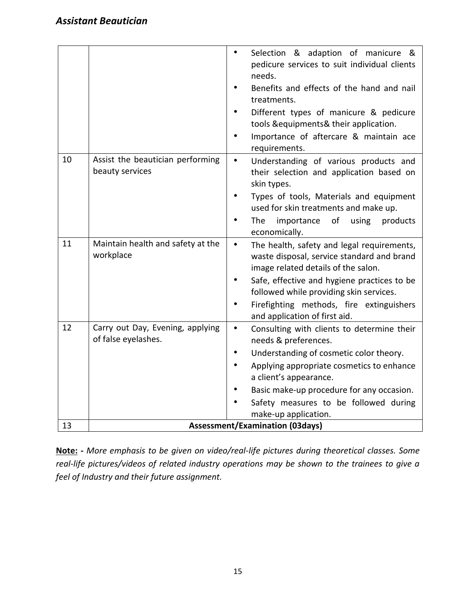|    |                                                         | Selection & adaption of manicure &<br>$\bullet$<br>pedicure services to suit individual clients<br>needs.                                    |  |  |  |  |  |  |  |
|----|---------------------------------------------------------|----------------------------------------------------------------------------------------------------------------------------------------------|--|--|--|--|--|--|--|
|    |                                                         | Benefits and effects of the hand and nail<br>treatments.                                                                                     |  |  |  |  |  |  |  |
|    |                                                         | Different types of manicure & pedicure                                                                                                       |  |  |  |  |  |  |  |
|    |                                                         | tools & equipments & their application.                                                                                                      |  |  |  |  |  |  |  |
|    |                                                         | Importance of aftercare & maintain ace<br>requirements.                                                                                      |  |  |  |  |  |  |  |
| 10 | Assist the beautician performing<br>beauty services     | Understanding of various products and<br>$\bullet$<br>their selection and application based on<br>skin types.                                |  |  |  |  |  |  |  |
|    |                                                         | Types of tools, Materials and equipment<br>used for skin treatments and make up.                                                             |  |  |  |  |  |  |  |
|    |                                                         | The<br>importance<br>of<br>using<br>products<br>economically.                                                                                |  |  |  |  |  |  |  |
| 11 | Maintain health and safety at the<br>workplace          | The health, safety and legal requirements,<br>$\bullet$<br>waste disposal, service standard and brand<br>image related details of the salon. |  |  |  |  |  |  |  |
|    |                                                         | Safe, effective and hygiene practices to be<br>followed while providing skin services.                                                       |  |  |  |  |  |  |  |
|    |                                                         | Firefighting methods, fire extinguishers<br>and application of first aid.                                                                    |  |  |  |  |  |  |  |
| 12 | Carry out Day, Evening, applying<br>of false eyelashes. | Consulting with clients to determine their<br>$\bullet$<br>needs & preferences.                                                              |  |  |  |  |  |  |  |
|    |                                                         | Understanding of cosmetic color theory.<br>$\bullet$                                                                                         |  |  |  |  |  |  |  |
|    |                                                         | Applying appropriate cosmetics to enhance<br>a client's appearance.                                                                          |  |  |  |  |  |  |  |
|    |                                                         | Basic make-up procedure for any occasion.                                                                                                    |  |  |  |  |  |  |  |
|    |                                                         | Safety measures to be followed during<br>make-up application.                                                                                |  |  |  |  |  |  |  |
| 13 | <b>Assessment/Examination (03days)</b>                  |                                                                                                                                              |  |  |  |  |  |  |  |

**Note: -** *More emphasis to be given on video/real-life pictures during theoretical classes. Some real-life pictures/videos of related industry operations may be shown to the trainees to give a feel of Industry and their future assignment.*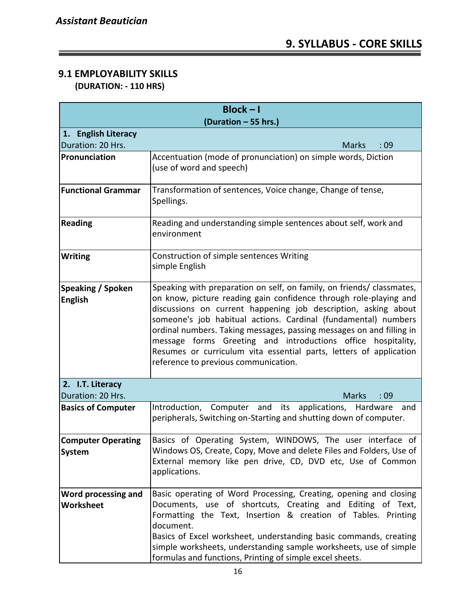## **9.1 EMPLOYABILITY SKILLS**

 **(DURATION: - 110 HRS)**

| $Block - I$                             |                                                                                                                                                                                                                                                                                                                                                                                                                                                                                                                                      |  |  |  |  |  |  |  |  |
|-----------------------------------------|--------------------------------------------------------------------------------------------------------------------------------------------------------------------------------------------------------------------------------------------------------------------------------------------------------------------------------------------------------------------------------------------------------------------------------------------------------------------------------------------------------------------------------------|--|--|--|--|--|--|--|--|
| (Duration - 55 hrs.)                    |                                                                                                                                                                                                                                                                                                                                                                                                                                                                                                                                      |  |  |  |  |  |  |  |  |
| 1. English Literacy                     |                                                                                                                                                                                                                                                                                                                                                                                                                                                                                                                                      |  |  |  |  |  |  |  |  |
| Duration: 20 Hrs.                       | <b>Marks</b><br>:09                                                                                                                                                                                                                                                                                                                                                                                                                                                                                                                  |  |  |  |  |  |  |  |  |
| Pronunciation                           | Accentuation (mode of pronunciation) on simple words, Diction<br>(use of word and speech)                                                                                                                                                                                                                                                                                                                                                                                                                                            |  |  |  |  |  |  |  |  |
| <b>Functional Grammar</b>               | Transformation of sentences, Voice change, Change of tense,<br>Spellings.                                                                                                                                                                                                                                                                                                                                                                                                                                                            |  |  |  |  |  |  |  |  |
| <b>Reading</b>                          | Reading and understanding simple sentences about self, work and<br>environment                                                                                                                                                                                                                                                                                                                                                                                                                                                       |  |  |  |  |  |  |  |  |
| <b>Writing</b>                          | Construction of simple sentences Writing<br>simple English                                                                                                                                                                                                                                                                                                                                                                                                                                                                           |  |  |  |  |  |  |  |  |
| Speaking / Spoken<br><b>English</b>     | Speaking with preparation on self, on family, on friends/ classmates,<br>on know, picture reading gain confidence through role-playing and<br>discussions on current happening job description, asking about<br>someone's job habitual actions. Cardinal (fundamental) numbers<br>ordinal numbers. Taking messages, passing messages on and filling in<br>message forms Greeting and introductions office hospitality,<br>Resumes or curriculum vita essential parts, letters of application<br>reference to previous communication. |  |  |  |  |  |  |  |  |
| 2. I.T. Literacy<br>Duration: 20 Hrs.   | <b>Marks</b><br>:09                                                                                                                                                                                                                                                                                                                                                                                                                                                                                                                  |  |  |  |  |  |  |  |  |
| <b>Basics of Computer</b>               | Introduction, Computer and its applications, Hardware<br>and<br>peripherals, Switching on-Starting and shutting down of computer.                                                                                                                                                                                                                                                                                                                                                                                                    |  |  |  |  |  |  |  |  |
| <b>Computer Operating</b><br>System     | Basics of Operating System, WINDOWS, The user interface of<br>Windows OS, Create, Copy, Move and delete Files and Folders, Use of<br>External memory like pen drive, CD, DVD etc, Use of Common<br>applications.                                                                                                                                                                                                                                                                                                                     |  |  |  |  |  |  |  |  |
| Word processing and<br><b>Worksheet</b> | Basic operating of Word Processing, Creating, opening and closing<br>Documents, use of shortcuts, Creating and Editing of Text,<br>Formatting the Text, Insertion & creation of Tables. Printing<br>document.<br>Basics of Excel worksheet, understanding basic commands, creating<br>simple worksheets, understanding sample worksheets, use of simple<br>formulas and functions, Printing of simple excel sheets.                                                                                                                  |  |  |  |  |  |  |  |  |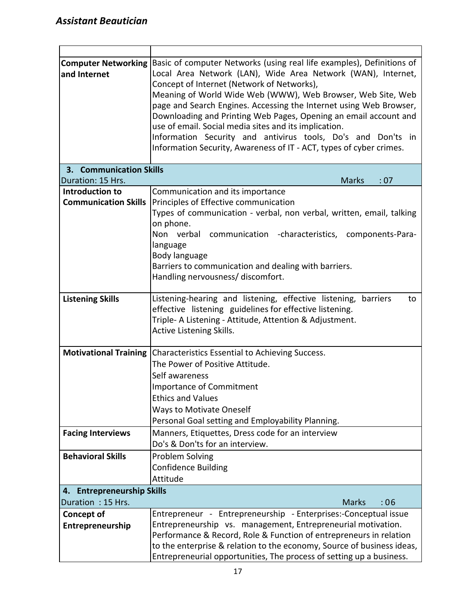$\blacksquare$ 

| <b>Computer Networking Basic of computer Networks (using real life examples), Definitions of</b><br>Local Area Network (LAN), Wide Area Network (WAN), Internet,<br>and Internet<br>Concept of Internet (Network of Networks),<br>Meaning of World Wide Web (WWW), Web Browser, Web Site, Web<br>page and Search Engines. Accessing the Internet using Web Browser,<br>Downloading and Printing Web Pages, Opening an email account and<br>use of email. Social media sites and its implication.<br>Information Security and antivirus tools, Do's and Don'ts in<br>Information Security, Awareness of IT - ACT, types of cyber crimes. |                                                                           |  |  |  |  |  |  |  |  |
|-----------------------------------------------------------------------------------------------------------------------------------------------------------------------------------------------------------------------------------------------------------------------------------------------------------------------------------------------------------------------------------------------------------------------------------------------------------------------------------------------------------------------------------------------------------------------------------------------------------------------------------------|---------------------------------------------------------------------------|--|--|--|--|--|--|--|--|
| <b>Communication Skills</b><br>3.<br>Duration: 15 Hrs.                                                                                                                                                                                                                                                                                                                                                                                                                                                                                                                                                                                  | <b>Marks</b><br>:07                                                       |  |  |  |  |  |  |  |  |
| Introduction to                                                                                                                                                                                                                                                                                                                                                                                                                                                                                                                                                                                                                         |                                                                           |  |  |  |  |  |  |  |  |
| <b>Communication Skills</b>                                                                                                                                                                                                                                                                                                                                                                                                                                                                                                                                                                                                             | Communication and its importance<br>Principles of Effective communication |  |  |  |  |  |  |  |  |
|                                                                                                                                                                                                                                                                                                                                                                                                                                                                                                                                                                                                                                         | Types of communication - verbal, non verbal, written, email, talking      |  |  |  |  |  |  |  |  |
|                                                                                                                                                                                                                                                                                                                                                                                                                                                                                                                                                                                                                                         | on phone.                                                                 |  |  |  |  |  |  |  |  |
|                                                                                                                                                                                                                                                                                                                                                                                                                                                                                                                                                                                                                                         | Non verbal communication -characteristics, components-Para-               |  |  |  |  |  |  |  |  |
|                                                                                                                                                                                                                                                                                                                                                                                                                                                                                                                                                                                                                                         | language                                                                  |  |  |  |  |  |  |  |  |
|                                                                                                                                                                                                                                                                                                                                                                                                                                                                                                                                                                                                                                         | Body language                                                             |  |  |  |  |  |  |  |  |
|                                                                                                                                                                                                                                                                                                                                                                                                                                                                                                                                                                                                                                         | Barriers to communication and dealing with barriers.                      |  |  |  |  |  |  |  |  |
|                                                                                                                                                                                                                                                                                                                                                                                                                                                                                                                                                                                                                                         | Handling nervousness/ discomfort.                                         |  |  |  |  |  |  |  |  |
|                                                                                                                                                                                                                                                                                                                                                                                                                                                                                                                                                                                                                                         |                                                                           |  |  |  |  |  |  |  |  |
| <b>Listening Skills</b>                                                                                                                                                                                                                                                                                                                                                                                                                                                                                                                                                                                                                 | Listening-hearing and listening, effective listening, barriers<br>to      |  |  |  |  |  |  |  |  |
|                                                                                                                                                                                                                                                                                                                                                                                                                                                                                                                                                                                                                                         | effective listening guidelines for effective listening.                   |  |  |  |  |  |  |  |  |
|                                                                                                                                                                                                                                                                                                                                                                                                                                                                                                                                                                                                                                         | Triple- A Listening - Attitude, Attention & Adjustment.                   |  |  |  |  |  |  |  |  |
|                                                                                                                                                                                                                                                                                                                                                                                                                                                                                                                                                                                                                                         | Active Listening Skills.                                                  |  |  |  |  |  |  |  |  |
|                                                                                                                                                                                                                                                                                                                                                                                                                                                                                                                                                                                                                                         | Motivational Training Characteristics Essential to Achieving Success.     |  |  |  |  |  |  |  |  |
|                                                                                                                                                                                                                                                                                                                                                                                                                                                                                                                                                                                                                                         | The Power of Positive Attitude.                                           |  |  |  |  |  |  |  |  |
|                                                                                                                                                                                                                                                                                                                                                                                                                                                                                                                                                                                                                                         | Self awareness                                                            |  |  |  |  |  |  |  |  |
|                                                                                                                                                                                                                                                                                                                                                                                                                                                                                                                                                                                                                                         | Importance of Commitment                                                  |  |  |  |  |  |  |  |  |
|                                                                                                                                                                                                                                                                                                                                                                                                                                                                                                                                                                                                                                         | <b>Ethics and Values</b>                                                  |  |  |  |  |  |  |  |  |
|                                                                                                                                                                                                                                                                                                                                                                                                                                                                                                                                                                                                                                         | <b>Ways to Motivate Oneself</b>                                           |  |  |  |  |  |  |  |  |
|                                                                                                                                                                                                                                                                                                                                                                                                                                                                                                                                                                                                                                         | Personal Goal setting and Employability Planning.                         |  |  |  |  |  |  |  |  |
| <b>Facing Interviews</b>                                                                                                                                                                                                                                                                                                                                                                                                                                                                                                                                                                                                                | Manners, Etiquettes, Dress code for an interview                          |  |  |  |  |  |  |  |  |
|                                                                                                                                                                                                                                                                                                                                                                                                                                                                                                                                                                                                                                         | Do's & Don'ts for an interview.                                           |  |  |  |  |  |  |  |  |
| <b>Behavioral Skills</b>                                                                                                                                                                                                                                                                                                                                                                                                                                                                                                                                                                                                                | <b>Problem Solving</b>                                                    |  |  |  |  |  |  |  |  |
|                                                                                                                                                                                                                                                                                                                                                                                                                                                                                                                                                                                                                                         | <b>Confidence Building</b>                                                |  |  |  |  |  |  |  |  |
|                                                                                                                                                                                                                                                                                                                                                                                                                                                                                                                                                                                                                                         | Attitude                                                                  |  |  |  |  |  |  |  |  |
| <b>Entrepreneurship Skills</b><br>4.                                                                                                                                                                                                                                                                                                                                                                                                                                                                                                                                                                                                    |                                                                           |  |  |  |  |  |  |  |  |
| Duration: 15 Hrs.                                                                                                                                                                                                                                                                                                                                                                                                                                                                                                                                                                                                                       | <b>Marks</b><br>:06                                                       |  |  |  |  |  |  |  |  |
| <b>Concept of</b>                                                                                                                                                                                                                                                                                                                                                                                                                                                                                                                                                                                                                       | Entrepreneur - Entrepreneurship - Enterprises:-Conceptual issue           |  |  |  |  |  |  |  |  |
| Entrepreneurship                                                                                                                                                                                                                                                                                                                                                                                                                                                                                                                                                                                                                        | Entrepreneurship vs. management, Entrepreneurial motivation.              |  |  |  |  |  |  |  |  |
|                                                                                                                                                                                                                                                                                                                                                                                                                                                                                                                                                                                                                                         | Performance & Record, Role & Function of entrepreneurs in relation        |  |  |  |  |  |  |  |  |
|                                                                                                                                                                                                                                                                                                                                                                                                                                                                                                                                                                                                                                         | to the enterprise & relation to the economy, Source of business ideas,    |  |  |  |  |  |  |  |  |
|                                                                                                                                                                                                                                                                                                                                                                                                                                                                                                                                                                                                                                         | Entrepreneurial opportunities, The process of setting up a business.      |  |  |  |  |  |  |  |  |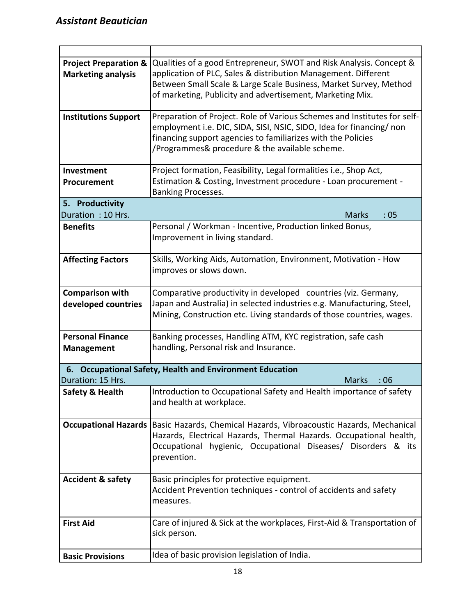| <b>Project Preparation &amp;</b> | Qualities of a good Entrepreneur, SWOT and Risk Analysis. Concept &      |
|----------------------------------|--------------------------------------------------------------------------|
| <b>Marketing analysis</b>        | application of PLC, Sales & distribution Management. Different           |
|                                  | Between Small Scale & Large Scale Business, Market Survey, Method        |
|                                  | of marketing, Publicity and advertisement, Marketing Mix.                |
|                                  |                                                                          |
| <b>Institutions Support</b>      | Preparation of Project. Role of Various Schemes and Institutes for self- |
|                                  | employment i.e. DIC, SIDA, SISI, NSIC, SIDO, Idea for financing/non      |
|                                  | financing support agencies to familiarizes with the Policies             |
|                                  | /Programmes& procedure & the available scheme.                           |
|                                  |                                                                          |
| Investment                       | Project formation, Feasibility, Legal formalities i.e., Shop Act,        |
| Procurement                      | Estimation & Costing, Investment procedure - Loan procurement -          |
|                                  | Banking Processes.                                                       |
| 5. Productivity                  |                                                                          |
| Duration: 10 Hrs.                | :05<br><b>Marks</b>                                                      |
| <b>Benefits</b>                  | Personal / Workman - Incentive, Production linked Bonus,                 |
|                                  | Improvement in living standard.                                          |
|                                  |                                                                          |
| <b>Affecting Factors</b>         | Skills, Working Aids, Automation, Environment, Motivation - How          |
|                                  | improves or slows down.                                                  |
|                                  |                                                                          |
| <b>Comparison with</b>           | Comparative productivity in developed countries (viz. Germany,           |
| developed countries              | Japan and Australia) in selected industries e.g. Manufacturing, Steel,   |
|                                  | Mining, Construction etc. Living standards of those countries, wages.    |
|                                  |                                                                          |
| <b>Personal Finance</b>          | Banking processes, Handling ATM, KYC registration, safe cash             |
| <b>Management</b>                | handling, Personal risk and Insurance.                                   |
|                                  |                                                                          |
|                                  | 6. Occupational Safety, Health and Environment Education                 |
| Duration: 15 Hrs.                | <b>Marks</b><br>:06                                                      |
| <b>Safety &amp; Health</b>       | Introduction to Occupational Safety and Health importance of safety      |
|                                  | and health at workplace.                                                 |
|                                  |                                                                          |
| <b>Occupational Hazards</b>      | Basic Hazards, Chemical Hazards, Vibroacoustic Hazards, Mechanical       |
|                                  | Hazards, Electrical Hazards, Thermal Hazards. Occupational health,       |
|                                  | Occupational hygienic, Occupational Diseases/ Disorders & its            |
|                                  | prevention.                                                              |
|                                  |                                                                          |
| <b>Accident &amp; safety</b>     | Basic principles for protective equipment.                               |
|                                  | Accident Prevention techniques - control of accidents and safety         |
|                                  | measures.                                                                |
|                                  |                                                                          |
| <b>First Aid</b>                 | Care of injured & Sick at the workplaces, First-Aid & Transportation of  |
|                                  | sick person.                                                             |
|                                  |                                                                          |
| <b>Basic Provisions</b>          | Idea of basic provision legislation of India.                            |
|                                  |                                                                          |

 $\overline{\phantom{0}}$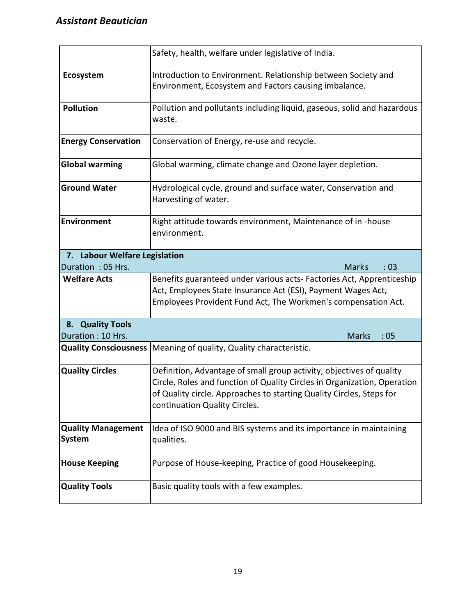|                                                                                                       | Safety, health, welfare under legislative of India.                                                                                                                                                                                                       |  |  |  |  |  |  |  |
|-------------------------------------------------------------------------------------------------------|-----------------------------------------------------------------------------------------------------------------------------------------------------------------------------------------------------------------------------------------------------------|--|--|--|--|--|--|--|
| Ecosystem                                                                                             | Introduction to Environment. Relationship between Society and<br>Environment, Ecosystem and Factors causing imbalance.                                                                                                                                    |  |  |  |  |  |  |  |
| Pollution and pollutants including liquid, gaseous, solid and hazardous<br><b>Pollution</b><br>waste. |                                                                                                                                                                                                                                                           |  |  |  |  |  |  |  |
| <b>Energy Conservation</b><br>Conservation of Energy, re-use and recycle.                             |                                                                                                                                                                                                                                                           |  |  |  |  |  |  |  |
| <b>Global warming</b>                                                                                 | Global warming, climate change and Ozone layer depletion.                                                                                                                                                                                                 |  |  |  |  |  |  |  |
| <b>Ground Water</b>                                                                                   | Hydrological cycle, ground and surface water, Conservation and<br>Harvesting of water.                                                                                                                                                                    |  |  |  |  |  |  |  |
| <b>Environment</b>                                                                                    | Right attitude towards environment, Maintenance of in -house<br>environment.                                                                                                                                                                              |  |  |  |  |  |  |  |
| 7. Labour Welfare Legislation<br>Duration: 05 Hrs.                                                    |                                                                                                                                                                                                                                                           |  |  |  |  |  |  |  |
|                                                                                                       | <b>Marks</b><br>: 03                                                                                                                                                                                                                                      |  |  |  |  |  |  |  |
| <b>Welfare Acts</b>                                                                                   | Benefits guaranteed under various acts- Factories Act, Apprenticeship<br>Act, Employees State Insurance Act (ESI), Payment Wages Act,<br>Employees Provident Fund Act, The Workmen's compensation Act.                                                    |  |  |  |  |  |  |  |
| 8. Quality Tools<br>Duration: 10 Hrs.                                                                 | <b>Marks</b><br>:05                                                                                                                                                                                                                                       |  |  |  |  |  |  |  |
| <b>Quality Consciousness</b>                                                                          | Meaning of quality, Quality characteristic.                                                                                                                                                                                                               |  |  |  |  |  |  |  |
| <b>Quality Circles</b>                                                                                | Definition, Advantage of small group activity, objectives of quality<br>Circle, Roles and function of Quality Circles in Organization, Operation<br>of Quality circle. Approaches to starting Quality Circles, Steps for<br>continuation Quality Circles. |  |  |  |  |  |  |  |
| <b>Quality Management</b><br>System                                                                   | Idea of ISO 9000 and BIS systems and its importance in maintaining<br>qualities.                                                                                                                                                                          |  |  |  |  |  |  |  |
| <b>House Keeping</b>                                                                                  | Purpose of House-keeping, Practice of good Housekeeping.                                                                                                                                                                                                  |  |  |  |  |  |  |  |
| <b>Quality Tools</b>                                                                                  | Basic quality tools with a few examples.                                                                                                                                                                                                                  |  |  |  |  |  |  |  |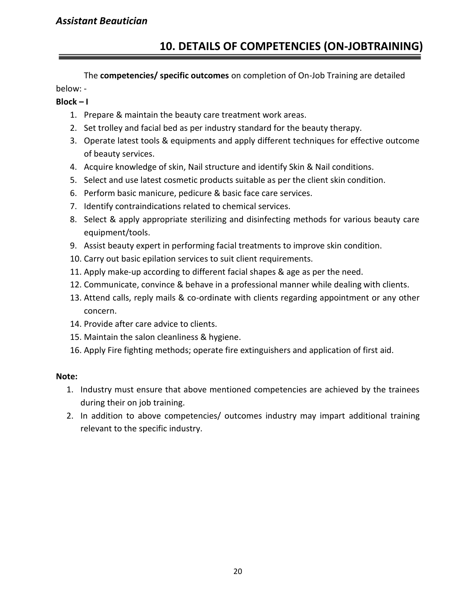### **10. DETAILS OF COMPETENCIES (ON-JOBTRAINING)**

The **competencies/ specific outcomes** on completion of On-Job Training are detailed below: -

#### **Block – I**

- 1. Prepare & maintain the beauty care treatment work areas.
- 2. Set trolley and facial bed as per industry standard for the beauty therapy.
- 3. Operate latest tools & equipments and apply different techniques for effective outcome of beauty services.
- 4. Acquire knowledge of skin, Nail structure and identify Skin & Nail conditions.
- 5. Select and use latest cosmetic products suitable as per the client skin condition.
- 6. Perform basic manicure, pedicure & basic face care services.
- 7. Identify contraindications related to chemical services.
- 8. Select & apply appropriate sterilizing and disinfecting methods for various beauty care equipment/tools.
- 9. Assist beauty expert in performing facial treatments to improve skin condition.
- 10. Carry out basic epilation services to suit client requirements.
- 11. Apply make-up according to different facial shapes & age as per the need.
- 12. Communicate, convince & behave in a professional manner while dealing with clients.
- 13. Attend calls, reply mails & co-ordinate with clients regarding appointment or any other concern.
- 14. Provide after care advice to clients.
- 15. Maintain the salon cleanliness & hygiene.
- 16. Apply Fire fighting methods; operate fire extinguishers and application of first aid.

#### **Note:**

- 1. Industry must ensure that above mentioned competencies are achieved by the trainees during their on job training.
- 2. In addition to above competencies/ outcomes industry may impart additional training relevant to the specific industry.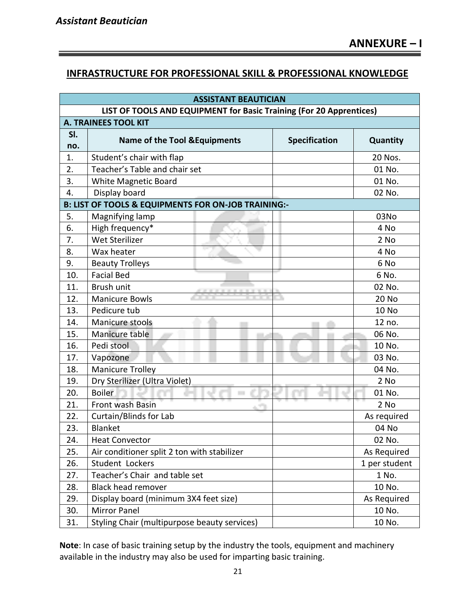#### **INFRASTRUCTURE FOR PROFESSIONAL SKILL & PROFESSIONAL KNOWLEDGE**

| <b>ASSISTANT BEAUTICIAN</b>                                         |                                              |                      |               |  |  |  |  |  |  |  |
|---------------------------------------------------------------------|----------------------------------------------|----------------------|---------------|--|--|--|--|--|--|--|
| LIST OF TOOLS AND EQUIPMENT for Basic Training (For 20 Apprentices) |                                              |                      |               |  |  |  |  |  |  |  |
| <b>A. TRAINEES TOOL KIT</b>                                         |                                              |                      |               |  |  |  |  |  |  |  |
| SI.                                                                 | <b>Name of the Tool &amp; Equipments</b>     | <b>Specification</b> | Quantity      |  |  |  |  |  |  |  |
| no.                                                                 |                                              |                      |               |  |  |  |  |  |  |  |
| 1.                                                                  | Student's chair with flap                    |                      | 20 Nos.       |  |  |  |  |  |  |  |
| 2.                                                                  | Teacher's Table and chair set                |                      | 01 No.        |  |  |  |  |  |  |  |
| 3.                                                                  | White Magnetic Board                         |                      | 01 No.        |  |  |  |  |  |  |  |
| 4.                                                                  | Display board                                | 02 No.               |               |  |  |  |  |  |  |  |
| B: LIST OF TOOLS & EQUIPMENTS FOR ON-JOB TRAINING:-                 |                                              |                      |               |  |  |  |  |  |  |  |
| 5.                                                                  | Magnifying lamp                              |                      | 03No          |  |  |  |  |  |  |  |
| 6.                                                                  | High frequency*                              |                      | 4 No          |  |  |  |  |  |  |  |
| 7.                                                                  | Wet Sterilizer                               |                      | 2 No          |  |  |  |  |  |  |  |
| 8.                                                                  | Wax heater                                   |                      | 4 No          |  |  |  |  |  |  |  |
| 9.                                                                  | <b>Beauty Trolleys</b>                       |                      | 6 No          |  |  |  |  |  |  |  |
| 10.                                                                 | <b>Facial Bed</b>                            |                      | 6 No.         |  |  |  |  |  |  |  |
| 11.                                                                 | Brush unit                                   |                      | 02 No.        |  |  |  |  |  |  |  |
| 12.                                                                 | <b>Manicure Bowls</b>                        |                      | 20 No         |  |  |  |  |  |  |  |
| 13.                                                                 | Pedicure tub                                 |                      | <b>10 No</b>  |  |  |  |  |  |  |  |
| 14.                                                                 | Manicure stools                              |                      | 12 no.        |  |  |  |  |  |  |  |
| 15.                                                                 | Manicure table                               |                      | 06 No.        |  |  |  |  |  |  |  |
| 16.                                                                 | Pedi stool                                   |                      | 10 No.        |  |  |  |  |  |  |  |
| 17.                                                                 | Vapozone                                     |                      | 03 No.        |  |  |  |  |  |  |  |
| 18.                                                                 | <b>Manicure Trolley</b>                      |                      | 04 No.        |  |  |  |  |  |  |  |
| 19.                                                                 | Dry Sterilizer (Ultra Violet)                |                      | 2 No          |  |  |  |  |  |  |  |
| 20.                                                                 | <b>Boiler</b>                                |                      | 01 No.        |  |  |  |  |  |  |  |
| 21.                                                                 | Front wash Basin                             |                      | 2 No          |  |  |  |  |  |  |  |
| 22.                                                                 | Curtain/Blinds for Lab                       |                      | As required   |  |  |  |  |  |  |  |
| 23.                                                                 | <b>Blanket</b>                               |                      | 04 No         |  |  |  |  |  |  |  |
| 24.                                                                 | <b>Heat Convector</b>                        |                      | 02 No.        |  |  |  |  |  |  |  |
| 25.                                                                 | Air conditioner split 2 ton with stabilizer  |                      | As Required   |  |  |  |  |  |  |  |
| 26.                                                                 | Student Lockers                              |                      | 1 per student |  |  |  |  |  |  |  |
| 27.                                                                 | Teacher's Chair and table set                |                      | 1 No.         |  |  |  |  |  |  |  |
| 28.                                                                 | <b>Black head remover</b>                    |                      | 10 No.        |  |  |  |  |  |  |  |
| 29.                                                                 | Display board (minimum 3X4 feet size)        |                      | As Required   |  |  |  |  |  |  |  |
| 30.                                                                 | <b>Mirror Panel</b>                          |                      | 10 No.        |  |  |  |  |  |  |  |
| 31.                                                                 | Styling Chair (multipurpose beauty services) |                      | 10 No.        |  |  |  |  |  |  |  |

**Note**: In case of basic training setup by the industry the tools, equipment and machinery available in the industry may also be used for imparting basic training.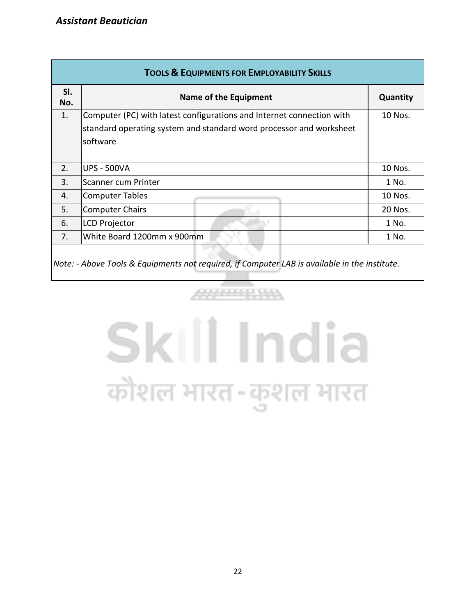| <b>TOOLS &amp; EQUIPMENTS FOR EMPLOYABILITY SKILLS</b>                                        |                                                                       |          |  |  |  |  |  |  |
|-----------------------------------------------------------------------------------------------|-----------------------------------------------------------------------|----------|--|--|--|--|--|--|
| SI.<br>No.                                                                                    | Name of the Equipment                                                 | Quantity |  |  |  |  |  |  |
| 1.                                                                                            | Computer (PC) with latest configurations and Internet connection with | 10 Nos.  |  |  |  |  |  |  |
|                                                                                               | standard operating system and standard word processor and worksheet   |          |  |  |  |  |  |  |
|                                                                                               | software                                                              |          |  |  |  |  |  |  |
|                                                                                               |                                                                       |          |  |  |  |  |  |  |
| 2.                                                                                            | <b>UPS - 500VA</b>                                                    | 10 Nos.  |  |  |  |  |  |  |
| 3.                                                                                            | Scanner cum Printer                                                   | 1 No.    |  |  |  |  |  |  |
| 4.                                                                                            | <b>Computer Tables</b>                                                | 10 Nos.  |  |  |  |  |  |  |
| 5.                                                                                            | <b>Computer Chairs</b>                                                | 20 Nos.  |  |  |  |  |  |  |
| 6.                                                                                            | <b>LCD Projector</b>                                                  | 1 No.    |  |  |  |  |  |  |
| 7.                                                                                            | White Board 1200mm x 900mm                                            | 1 No.    |  |  |  |  |  |  |
| Note: - Above Tools & Equipments not required, if Computer LAB is available in the institute. |                                                                       |          |  |  |  |  |  |  |

# Skill India कौशल भारत-कुशल भारत

4444444444